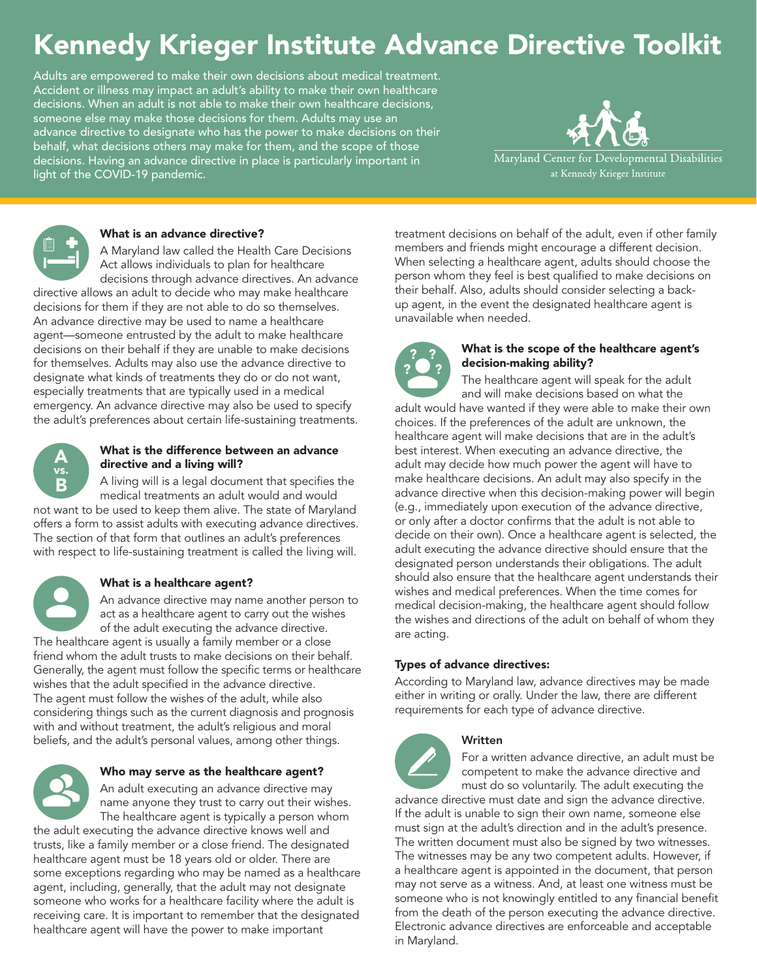# Kennedy Krieger Institute Advance Directive Toolkit

Adults are empowered to make their own decisions about medical treatment. Accident or illness may impact an adult's ability to make their own healthcare decisions. When an adult is not able to make their own healthcare decisions, someone else may make those decisions for them. Adults may use an advance directive to designate who has the power to make decisions on their behalf, what decisions others may make for them, and the scope of those decisions. Having an advance directive in place is particularly important in light of the COVID-19 pandemic.



Maryland Center for Developmental Disabilities at Kennedy Krieger Institute



# What is an advance directive?

A Maryland law called the Health Care Decisions Act allows individuals to plan for healthcare decisions through advance directives. An advance

directive allows an adult to decide who may make healthcare decisions for them if they are not able to do so themselves. An advance directive may be used to name a healthcare agent—someone entrusted by the adult to make healthcare decisions on their behalf if they are unable to make decisions for themselves. Adults may also use the advance directive to designate what kinds of treatments they do or do not want, especially treatments that are typically used in a medical emergency. An advance directive may also be used to specify the adult's preferences about certain life-sustaining treatments.



#### What is the difference between an advance directive and a living will?

A living will is a legal document that specifies the medical treatments an adult would and would not want to be used to keep them alive. The state of Maryland

offers a form to assist adults with executing advance directives. The section of that form that outlines an adult's preferences with respect to life-sustaining treatment is called the living will.

#### What is a healthcare agent?

An advance directive may name another person to act as a healthcare agent to carry out the wishes of the adult executing the advance directive. The healthcare agent is usually a family member or a close friend whom the adult trusts to make decisions on their behalf. Generally, the agent must follow the specific terms or healthcare wishes that the adult specified in the advance directive. The agent must follow the wishes of the adult, while also considering things such as the current diagnosis and prognosis with and without treatment, the adult's religious and moral beliefs, and the adult's personal values, among other things.



# Who may serve as the healthcare agent?

An adult executing an advance directive may name anyone they trust to carry out their wishes. The healthcare agent is typically a person whom the adult executing the advance directive knows well and trusts, like a family member or a close friend. The designated healthcare agent must be 18 years old or older. There are some exceptions regarding who may be named as a healthcare agent, including, generally, that the adult may not designate someone who works for a healthcare facility where the adult is receiving care. It is important to remember that the designated healthcare agent will have the power to make important

treatment decisions on behalf of the adult, even if other family members and friends might encourage a different decision. When selecting a healthcare agent, adults should choose the person whom they feel is best qualified to make decisions on their behalf. Also, adults should consider selecting a backup agent, in the event the designated healthcare agent is unavailable when needed.



#### What is the scope of the healthcare agent's decision-making ability?

The healthcare agent will speak for the adult and will make decisions based on what the adult would have wanted if they were able to make their own choices. If the preferences of the adult are unknown, the healthcare agent will make decisions that are in the adult's best interest. When executing an advance directive, the adult may decide how much power the agent will have to make healthcare decisions. An adult may also specify in the advance directive when this decision-making power will begin (e.g., immediately upon execution of the advance directive, or only after a doctor confirms that the adult is not able to decide on their own). Once a healthcare agent is selected, the adult executing the advance directive should ensure that the designated person understands their obligations. The adult should also ensure that the healthcare agent understands their wishes and medical preferences. When the time comes for medical decision-making, the healthcare agent should follow the wishes and directions of the adult on behalf of whom they are acting.

# Types of advance directives:

According to Maryland law, advance directives may be made either in writing or orally. Under the law, there are different requirements for each type of advance directive.

# Written

For a written advance directive, an adult must be competent to make the advance directive and must do so voluntarily. The adult executing the

advance directive must date and sign the advance directive. If the adult is unable to sign their own name, someone else must sign at the adult's direction and in the adult's presence. The written document must also be signed by two witnesses. The witnesses may be any two competent adults. However, if a healthcare agent is appointed in the document, that person may not serve as a witness. And, at least one witness must be someone who is not knowingly entitled to any financial benefit from the death of the person executing the advance directive. Electronic advance directives are enforceable and acceptable in Maryland.